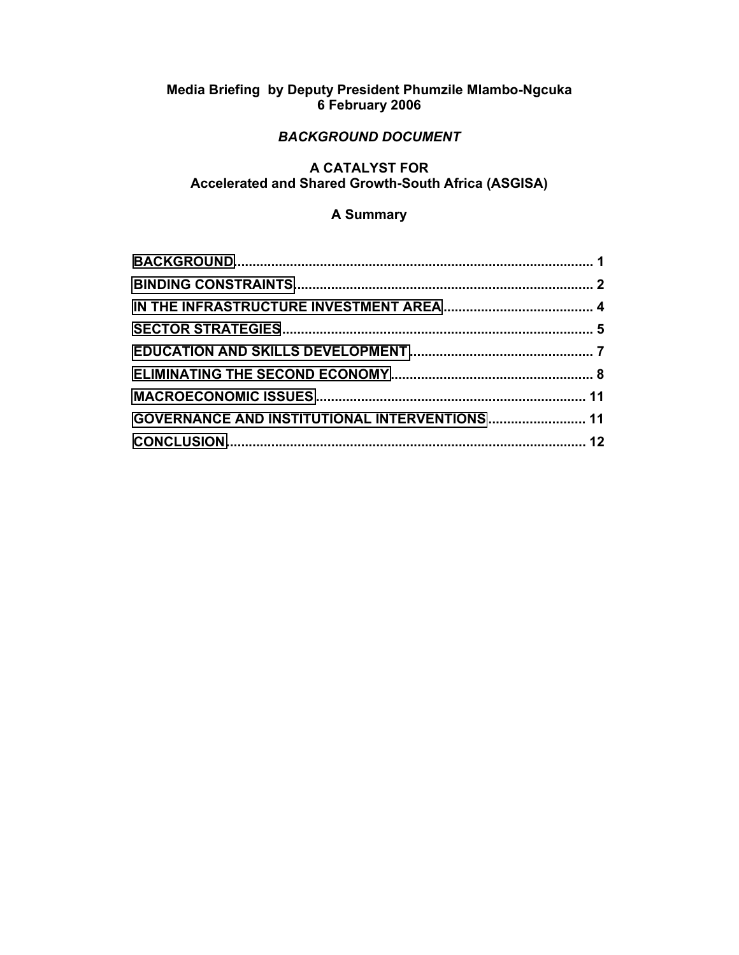# **Media Briefing by Deputy President Phumzile Mlambo-Ngcuka 6 February 2006**

# *BACKGROUND DOCUMENT*

## **A CATALYST FOR Accelerated and Shared Growth-South Africa (ASGISA)**

# **A Summary**

| <b>GOVERNANCE AND INSTITUTIONAL INTERVENTIONS  11</b> |  |
|-------------------------------------------------------|--|
|                                                       |  |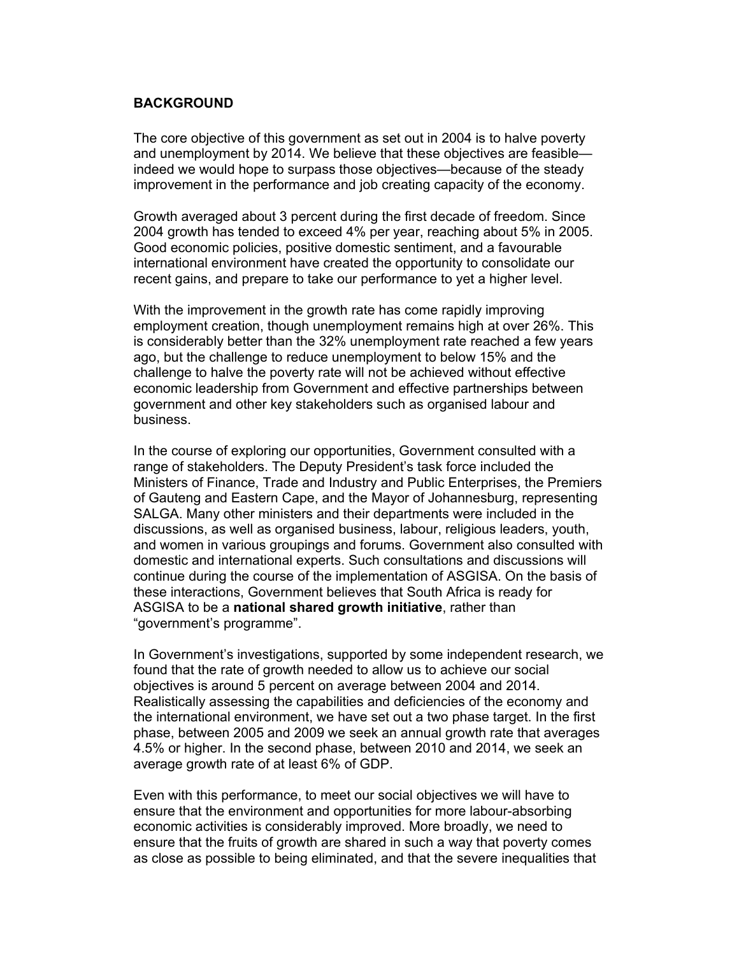#### <span id="page-1-0"></span>**BACKGROUND**

The core objective of this government as set out in 2004 is to halve poverty and unemployment by 2014. We believe that these objectives are feasible indeed we would hope to surpass those objectives—because of the steady improvement in the performance and job creating capacity of the economy.

Growth averaged about 3 percent during the first decade of freedom. Since 2004 growth has tended to exceed 4% per year, reaching about 5% in 2005. Good economic policies, positive domestic sentiment, and a favourable international environment have created the opportunity to consolidate our recent gains, and prepare to take our performance to yet a higher level.

With the improvement in the growth rate has come rapidly improving employment creation, though unemployment remains high at over 26%. This is considerably better than the 32% unemployment rate reached a few years ago, but the challenge to reduce unemployment to below 15% and the challenge to halve the poverty rate will not be achieved without effective economic leadership from Government and effective partnerships between government and other key stakeholders such as organised labour and business.

In the course of exploring our opportunities, Government consulted with a range of stakeholders. The Deputy President's task force included the Ministers of Finance, Trade and Industry and Public Enterprises, the Premiers of Gauteng and Eastern Cape, and the Mayor of Johannesburg, representing SALGA. Many other ministers and their departments were included in the discussions, as well as organised business, labour, religious leaders, youth, and women in various groupings and forums. Government also consulted with domestic and international experts. Such consultations and discussions will continue during the course of the implementation of ASGISA. On the basis of these interactions, Government believes that South Africa is ready for ASGISA to be a **national shared growth initiative**, rather than "government's programme".

In Government's investigations, supported by some independent research, we found that the rate of growth needed to allow us to achieve our social objectives is around 5 percent on average between 2004 and 2014. Realistically assessing the capabilities and deficiencies of the economy and the international environment, we have set out a two phase target. In the first phase, between 2005 and 2009 we seek an annual growth rate that averages 4.5% or higher. In the second phase, between 2010 and 2014, we seek an average growth rate of at least 6% of GDP.

Even with this performance, to meet our social objectives we will have to ensure that the environment and opportunities for more labour-absorbing economic activities is considerably improved. More broadly, we need to ensure that the fruits of growth are shared in such a way that poverty comes as close as possible to being eliminated, and that the severe inequalities that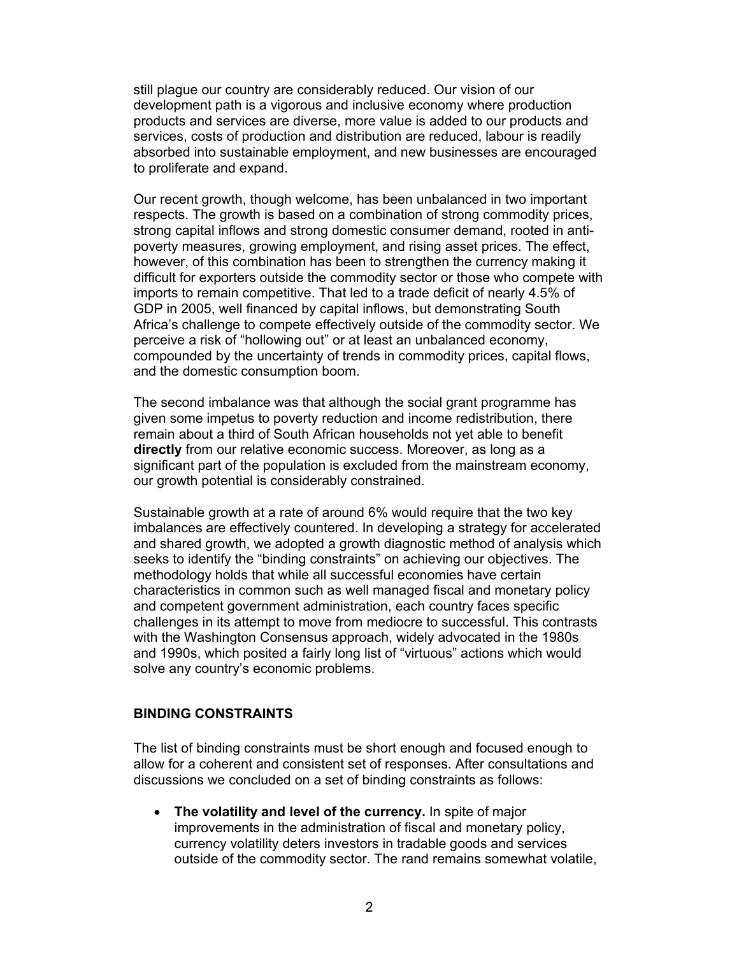<span id="page-2-0"></span>still plague our country are considerably reduced. Our vision of our development path is a vigorous and inclusive economy where production products and services are diverse, more value is added to our products and services, costs of production and distribution are reduced, labour is readily absorbed into sustainable employment, and new businesses are encouraged to proliferate and expand.

Our recent growth, though welcome, has been unbalanced in two important respects. The growth is based on a combination of strong commodity prices, strong capital inflows and strong domestic consumer demand, rooted in antipoverty measures, growing employment, and rising asset prices. The effect, however, of this combination has been to strengthen the currency making it difficult for exporters outside the commodity sector or those who compete with imports to remain competitive. That led to a trade deficit of nearly 4.5% of GDP in 2005, well financed by capital inflows, but demonstrating South Africa's challenge to compete effectively outside of the commodity sector. We perceive a risk of "hollowing out" or at least an unbalanced economy, compounded by the uncertainty of trends in commodity prices, capital flows, and the domestic consumption boom.

The second imbalance was that although the social grant programme has given some impetus to poverty reduction and income redistribution, there remain about a third of South African households not yet able to benefit **directly** from our relative economic success. Moreover, as long as a significant part of the population is excluded from the mainstream economy, our growth potential is considerably constrained.

Sustainable growth at a rate of around 6% would require that the two key imbalances are effectively countered. In developing a strategy for accelerated and shared growth, we adopted a growth diagnostic method of analysis which seeks to identify the "binding constraints" on achieving our objectives. The methodology holds that while all successful economies have certain characteristics in common such as well managed fiscal and monetary policy and competent government administration, each country faces specific challenges in its attempt to move from mediocre to successful. This contrasts with the Washington Consensus approach, widely advocated in the 1980s and 1990s, which posited a fairly long list of "virtuous" actions which would solve any country's economic problems.

#### **BINDING CONSTRAINTS**

The list of binding constraints must be short enough and focused enough to allow for a coherent and consistent set of responses. After consultations and discussions we concluded on a set of binding constraints as follows:

• **The volatility and level of the currency.** In spite of major improvements in the administration of fiscal and monetary policy, currency volatility deters investors in tradable goods and services outside of the commodity sector. The rand remains somewhat volatile,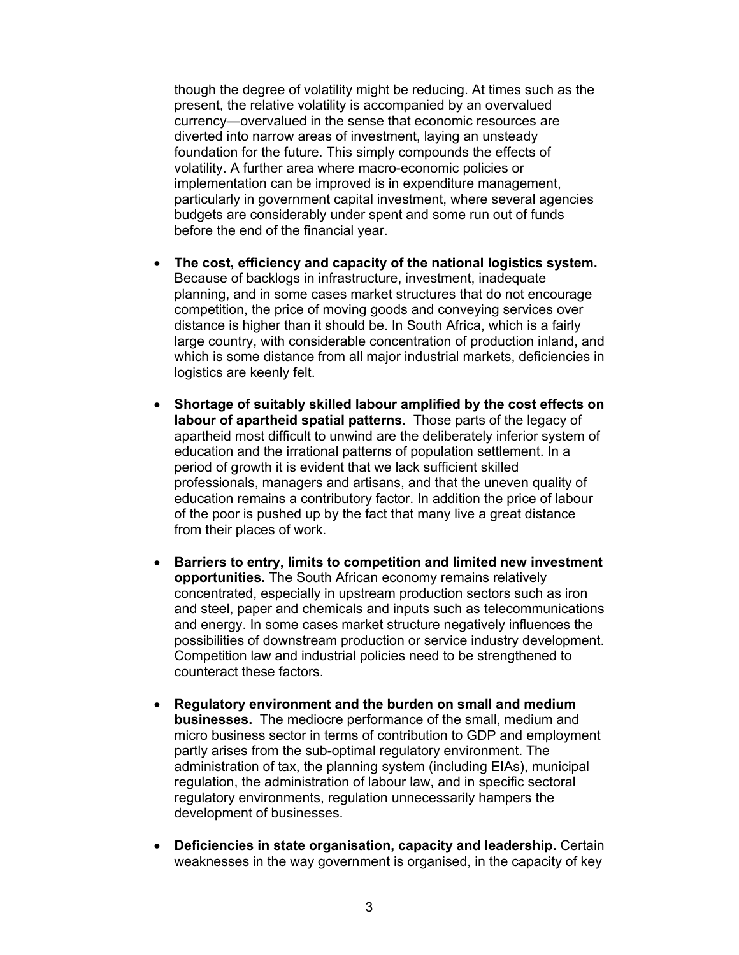though the degree of volatility might be reducing. At times such as the present, the relative volatility is accompanied by an overvalued currency—overvalued in the sense that economic resources are diverted into narrow areas of investment, laying an unsteady foundation for the future. This simply compounds the effects of volatility. A further area where macro-economic policies or implementation can be improved is in expenditure management, particularly in government capital investment, where several agencies budgets are considerably under spent and some run out of funds before the end of the financial year.

- **The cost, efficiency and capacity of the national logistics system.** Because of backlogs in infrastructure, investment, inadequate planning, and in some cases market structures that do not encourage competition, the price of moving goods and conveying services over distance is higher than it should be. In South Africa, which is a fairly large country, with considerable concentration of production inland, and which is some distance from all major industrial markets, deficiencies in logistics are keenly felt.
- **Shortage of suitably skilled labour amplified by the cost effects on labour of apartheid spatial patterns.** Those parts of the legacy of apartheid most difficult to unwind are the deliberately inferior system of education and the irrational patterns of population settlement. In a period of growth it is evident that we lack sufficient skilled professionals, managers and artisans, and that the uneven quality of education remains a contributory factor. In addition the price of labour of the poor is pushed up by the fact that many live a great distance from their places of work.
- **Barriers to entry, limits to competition and limited new investment opportunities.** The South African economy remains relatively concentrated, especially in upstream production sectors such as iron and steel, paper and chemicals and inputs such as telecommunications and energy. In some cases market structure negatively influences the possibilities of downstream production or service industry development. Competition law and industrial policies need to be strengthened to counteract these factors.
- **Regulatory environment and the burden on small and medium businesses.** The mediocre performance of the small, medium and micro business sector in terms of contribution to GDP and employment partly arises from the sub-optimal regulatory environment. The administration of tax, the planning system (including EIAs), municipal regulation, the administration of labour law, and in specific sectoral regulatory environments, regulation unnecessarily hampers the development of businesses.
- **Deficiencies in state organisation, capacity and leadership.** Certain weaknesses in the way government is organised, in the capacity of key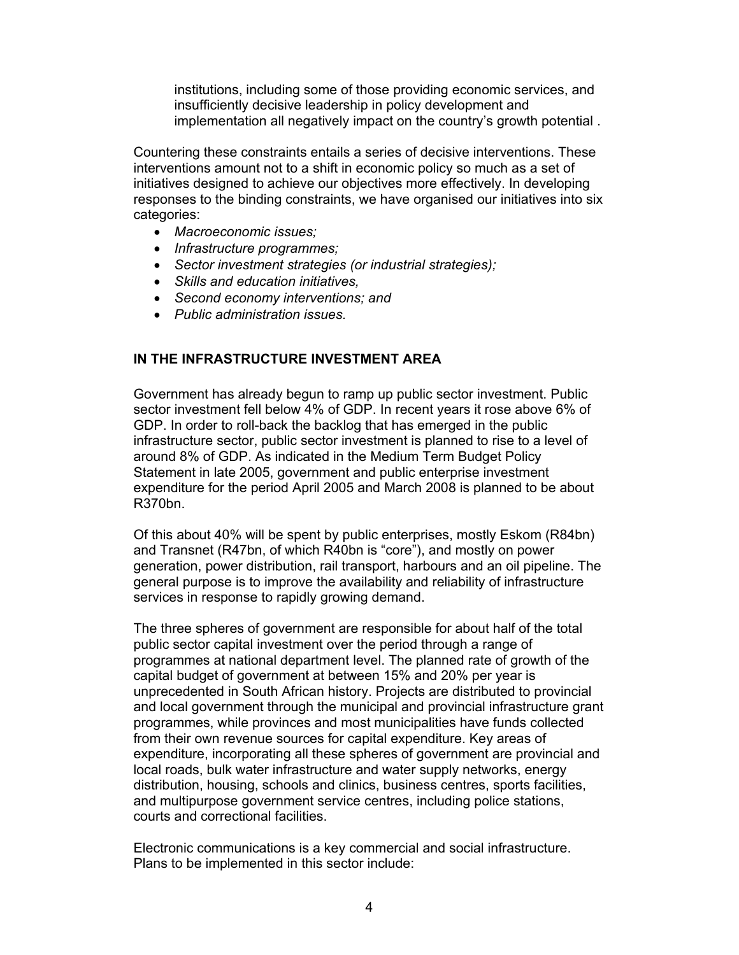<span id="page-4-0"></span>institutions, including some of those providing economic services, and insufficiently decisive leadership in policy development and implementation all negatively impact on the country's growth potential .

Countering these constraints entails a series of decisive interventions. These interventions amount not to a shift in economic policy so much as a set of initiatives designed to achieve our objectives more effectively. In developing responses to the binding constraints, we have organised our initiatives into six categories:

- *Macroeconomic issues;*
- *Infrastructure programmes;*
- *Sector investment strategies (or industrial strategies);*
- *Skills and education initiatives,*
- *Second economy interventions; and*
- *Public administration issues.*

### **IN THE INFRASTRUCTURE INVESTMENT AREA**

Government has already begun to ramp up public sector investment. Public sector investment fell below 4% of GDP. In recent years it rose above 6% of GDP. In order to roll-back the backlog that has emerged in the public infrastructure sector, public sector investment is planned to rise to a level of around 8% of GDP. As indicated in the Medium Term Budget Policy Statement in late 2005, government and public enterprise investment expenditure for the period April 2005 and March 2008 is planned to be about R370bn.

Of this about 40% will be spent by public enterprises, mostly Eskom (R84bn) and Transnet (R47bn, of which R40bn is "core"), and mostly on power generation, power distribution, rail transport, harbours and an oil pipeline. The general purpose is to improve the availability and reliability of infrastructure services in response to rapidly growing demand.

The three spheres of government are responsible for about half of the total public sector capital investment over the period through a range of programmes at national department level. The planned rate of growth of the capital budget of government at between 15% and 20% per year is unprecedented in South African history. Projects are distributed to provincial and local government through the municipal and provincial infrastructure grant programmes, while provinces and most municipalities have funds collected from their own revenue sources for capital expenditure. Key areas of expenditure, incorporating all these spheres of government are provincial and local roads, bulk water infrastructure and water supply networks, energy distribution, housing, schools and clinics, business centres, sports facilities, and multipurpose government service centres, including police stations, courts and correctional facilities.

Electronic communications is a key commercial and social infrastructure. Plans to be implemented in this sector include: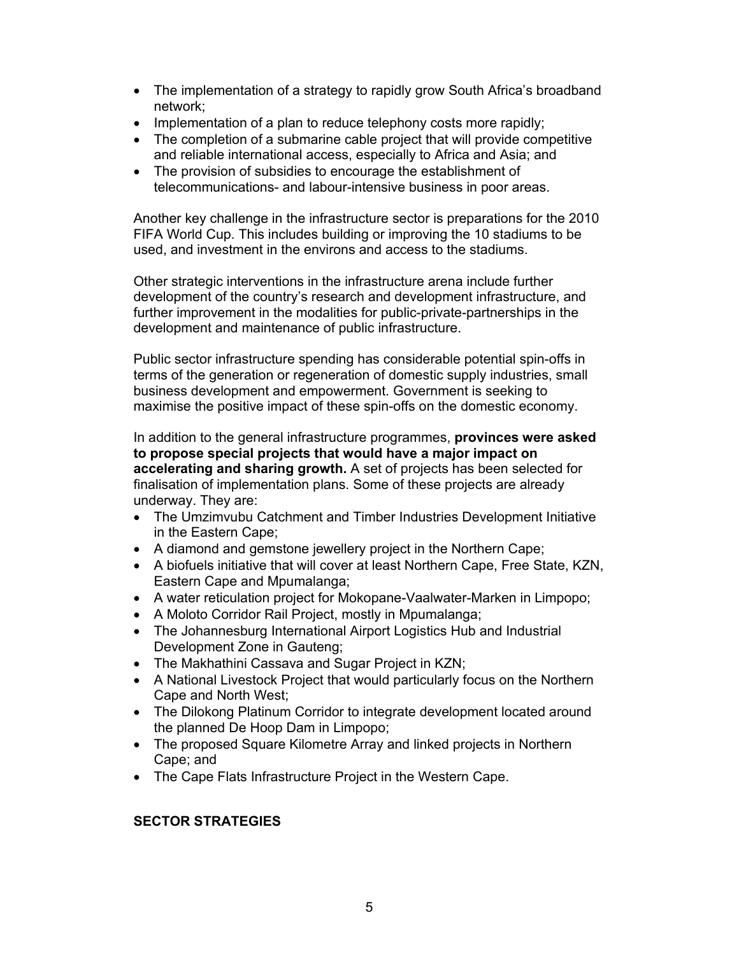- <span id="page-5-0"></span>• The implementation of a strategy to rapidly grow South Africa's broadband network;
- Implementation of a plan to reduce telephony costs more rapidly;
- The completion of a submarine cable project that will provide competitive and reliable international access, especially to Africa and Asia; and
- The provision of subsidies to encourage the establishment of telecommunications- and labour-intensive business in poor areas.

Another key challenge in the infrastructure sector is preparations for the 2010 FIFA World Cup. This includes building or improving the 10 stadiums to be used, and investment in the environs and access to the stadiums.

Other strategic interventions in the infrastructure arena include further development of the country's research and development infrastructure, and further improvement in the modalities for public-private-partnerships in the development and maintenance of public infrastructure.

Public sector infrastructure spending has considerable potential spin-offs in terms of the generation or regeneration of domestic supply industries, small business development and empowerment. Government is seeking to maximise the positive impact of these spin-offs on the domestic economy.

In addition to the general infrastructure programmes, **provinces were asked to propose special projects that would have a major impact on accelerating and sharing growth.** A set of projects has been selected for finalisation of implementation plans. Some of these projects are already underway. They are:

- The Umzimvubu Catchment and Timber Industries Development Initiative in the Eastern Cape;
- A diamond and gemstone jewellery project in the Northern Cape;
- A biofuels initiative that will cover at least Northern Cape, Free State, KZN, Eastern Cape and Mpumalanga;
- A water reticulation project for Mokopane-Vaalwater-Marken in Limpopo;
- A Moloto Corridor Rail Project, mostly in Mpumalanga;
- The Johannesburg International Airport Logistics Hub and Industrial Development Zone in Gauteng;
- The Makhathini Cassava and Sugar Project in KZN;
- A National Livestock Project that would particularly focus on the Northern Cape and North West;
- The Dilokong Platinum Corridor to integrate development located around the planned De Hoop Dam in Limpopo;
- The proposed Square Kilometre Array and linked projects in Northern Cape; and
- The Cape Flats Infrastructure Project in the Western Cape.

# **SECTOR STRATEGIES**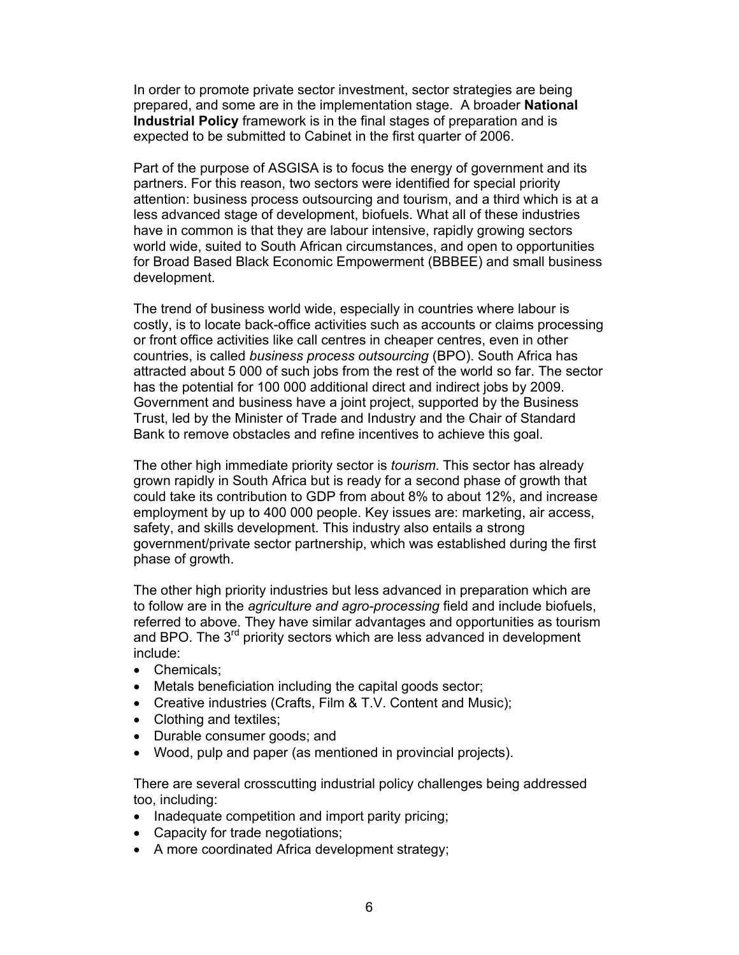<span id="page-6-0"></span>In order to promote private sector investment, sector strategies are being prepared, and some are in the implementation stage. A broader **National Industrial Policy** framework is in the final stages of preparation and is expected to be submitted to Cabinet in the first quarter of 2006.

Part of the purpose of ASGISA is to focus the energy of government and its partners. For this reason, two sectors were identified for special priority attention: business process outsourcing and tourism, and a third which is at a less advanced stage of development, biofuels. What all of these industries have in common is that they are labour intensive, rapidly growing sectors world wide, suited to South African circumstances, and open to opportunities for Broad Based Black Economic Empowerment (BBBEE) and small business development.

The trend of business world wide, especially in countries where labour is costly, is to locate back-office activities such as accounts or claims processing or front office activities like call centres in cheaper centres, even in other countries, is called *business process outsourcing* (BPO). South Africa has attracted about 5 000 of such jobs from the rest of the world so far. The sector has the potential for 100 000 additional direct and indirect jobs by 2009. Government and business have a joint project, supported by the Business Trust, led by the Minister of Trade and Industry and the Chair of Standard Bank to remove obstacles and refine incentives to achieve this goal.

The other high immediate priority sector is *tourism*. This sector has already grown rapidly in South Africa but is ready for a second phase of growth that could take its contribution to GDP from about 8% to about 12%, and increase employment by up to 400 000 people. Key issues are: marketing, air access, safety, and skills development. This industry also entails a strong government/private sector partnership, which was established during the first phase of growth.

The other high priority industries but less advanced in preparation which are to follow are in the *agriculture and agro-processing* field and include biofuels, referred to above. They have similar advantages and opportunities as tourism and BPO. The 3<sup>rd</sup> priority sectors which are less advanced in development include:

- Chemicals;
- Metals beneficiation including the capital goods sector;
- Creative industries (Crafts, Film & T.V. Content and Music);
- Clothing and textiles;
- Durable consumer goods; and
- Wood, pulp and paper (as mentioned in provincial projects).

There are several crosscutting industrial policy challenges being addressed too, including:

- Inadequate competition and import parity pricing;
- Capacity for trade negotiations;
- A more coordinated Africa development strategy;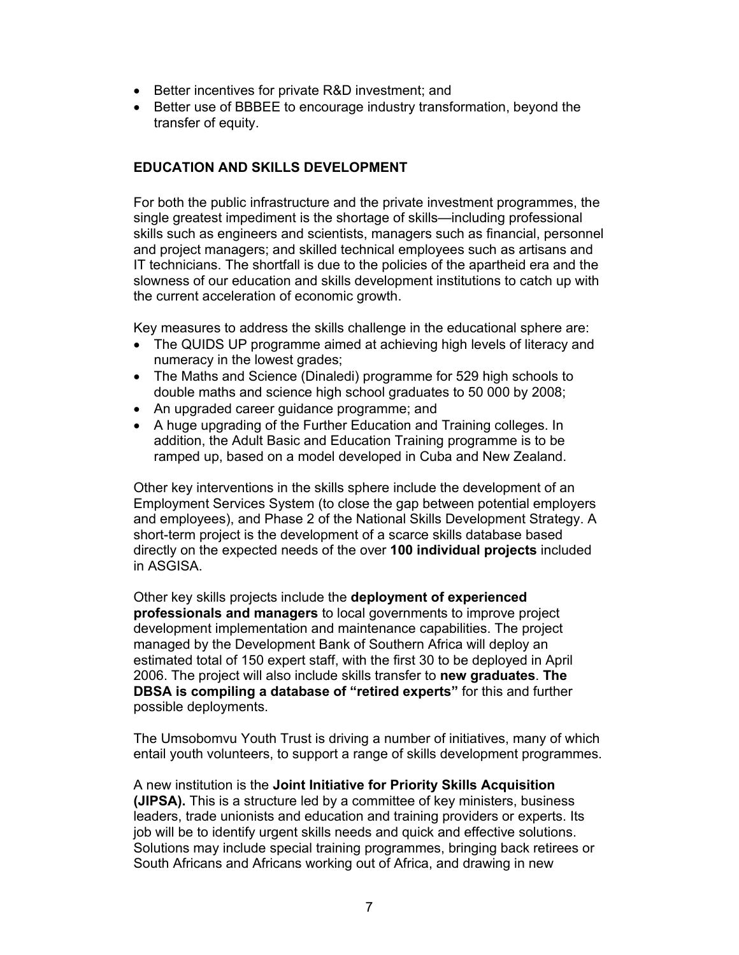- Better incentives for private R&D investment; and
- Better use of BBBEE to encourage industry transformation, beyond the transfer of equity.

### **EDUCATION AND SKILLS DEVELOPMENT**

For both the public infrastructure and the private investment programmes, the single greatest impediment is the shortage of skills—including professional skills such as engineers and scientists, managers such as financial, personnel and project managers; and skilled technical employees such as artisans and IT technicians. The shortfall is due to the policies of the apartheid era and the slowness of our education and skills development institutions to catch up with the current acceleration of economic growth.

Key measures to address the skills challenge in the educational sphere are:

- The QUIDS UP programme aimed at achieving high levels of literacy and numeracy in the lowest grades;
- The Maths and Science (Dinaledi) programme for 529 high schools to double maths and science high school graduates to 50 000 by 2008;
- An upgraded career guidance programme; and
- A huge upgrading of the Further Education and Training colleges. In addition, the Adult Basic and Education Training programme is to be ramped up, based on a model developed in Cuba and New Zealand.

Other key interventions in the skills sphere include the development of an Employment Services System (to close the gap between potential employers and employees), and Phase 2 of the National Skills Development Strategy. A short-term project is the development of a scarce skills database based directly on the expected needs of the over **100 individual projects** included in ASGISA.

Other key skills projects include the **deployment of experienced professionals and managers** to local governments to improve project development implementation and maintenance capabilities. The project managed by the Development Bank of Southern Africa will deploy an estimated total of 150 expert staff, with the first 30 to be deployed in April 2006. The project will also include skills transfer to **new graduates**. **The DBSA is compiling a database of "retired experts"** for this and further possible deployments.

The Umsobomvu Youth Trust is driving a number of initiatives, many of which entail youth volunteers, to support a range of skills development programmes.

A new institution is the **Joint Initiative for Priority Skills Acquisition (JIPSA).** This is a structure led by a committee of key ministers, business leaders, trade unionists and education and training providers or experts. Its job will be to identify urgent skills needs and quick and effective solutions. Solutions may include special training programmes, bringing back retirees or South Africans and Africans working out of Africa, and drawing in new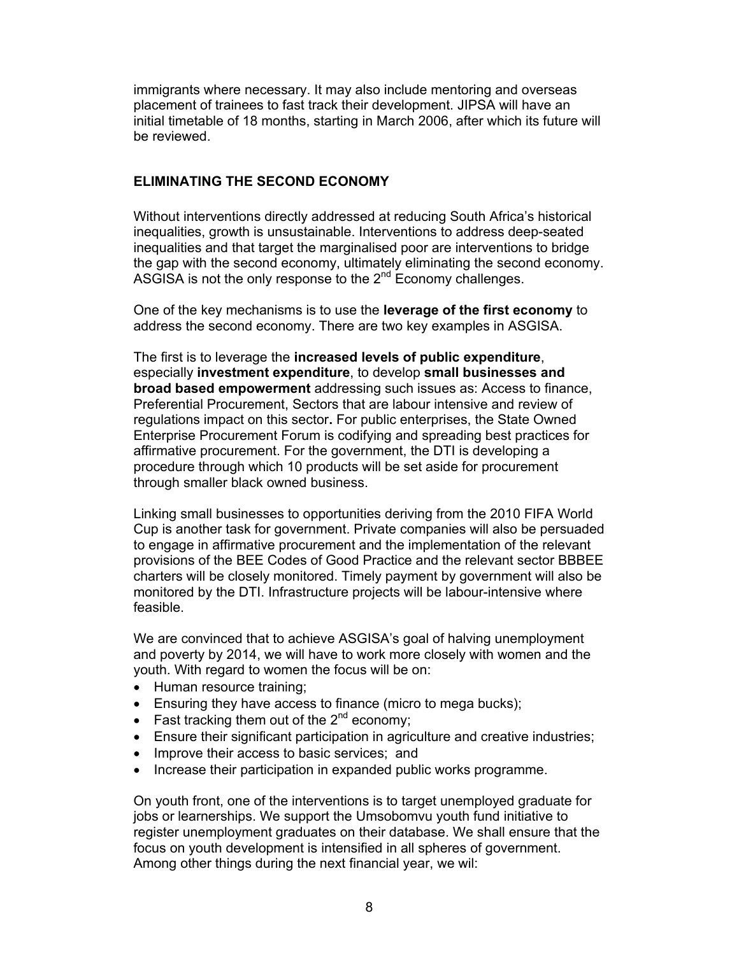immigrants where necessary. It may also include mentoring and overseas placement of trainees to fast track their development. JIPSA will have an initial timetable of 18 months, starting in March 2006, after which its future will be reviewed.

### **ELIMINATING THE SECOND ECONOMY**

Without interventions directly addressed at reducing South Africa's historical inequalities, growth is unsustainable. Interventions to address deep-seated inequalities and that target the marginalised poor are interventions to bridge the gap with the second economy, ultimately eliminating the second economy. ASGISA is not the only response to the  $2<sup>nd</sup>$  Economy challenges.

One of the key mechanisms is to use the **leverage of the first economy** to address the second economy. There are two key examples in ASGISA.

The first is to leverage the **increased levels of public expenditure**, especially **investment expenditure**, to develop **small businesses and broad based empowerment** addressing such issues as: Access to finance, Preferential Procurement, Sectors that are labour intensive and review of regulations impact on this sector**.** For public enterprises, the State Owned Enterprise Procurement Forum is codifying and spreading best practices for affirmative procurement. For the government, the DTI is developing a procedure through which 10 products will be set aside for procurement through smaller black owned business.

Linking small businesses to opportunities deriving from the 2010 FIFA World Cup is another task for government. Private companies will also be persuaded to engage in affirmative procurement and the implementation of the relevant provisions of the BEE Codes of Good Practice and the relevant sector BBBEE charters will be closely monitored. Timely payment by government will also be monitored by the DTI. Infrastructure projects will be labour-intensive where feasible.

We are convinced that to achieve ASGISA's goal of halving unemployment and poverty by 2014, we will have to work more closely with women and the youth. With regard to women the focus will be on:

- Human resource training;
- Ensuring they have access to finance (micro to mega bucks);
- Fast tracking them out of the  $2^{nd}$  economy;
- Ensure their significant participation in agriculture and creative industries;
- Improve their access to basic services; and
- Increase their participation in expanded public works programme.

On youth front, one of the interventions is to target unemployed graduate for jobs or learnerships. We support the Umsobomvu youth fund initiative to register unemployment graduates on their database. We shall ensure that the focus on youth development is intensified in all spheres of government. Among other things during the next financial year, we wil: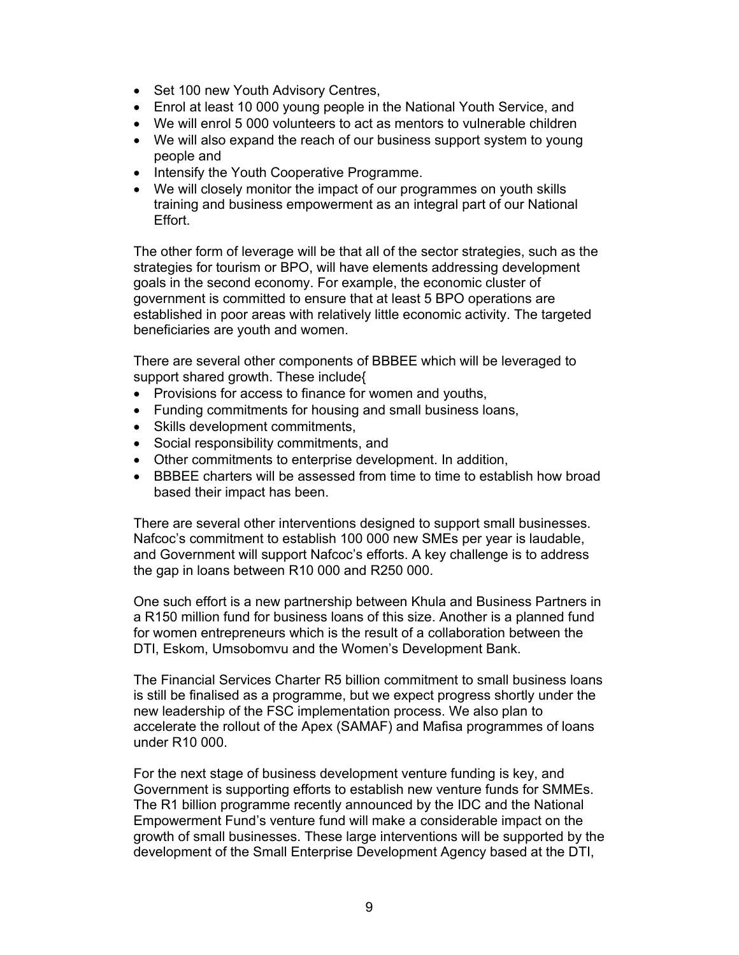- <span id="page-9-0"></span>• Set 100 new Youth Advisory Centres,
- Enrol at least 10 000 young people in the National Youth Service, and
- We will enrol 5 000 volunteers to act as mentors to vulnerable children
- We will also expand the reach of our business support system to young people and
- Intensify the Youth Cooperative Programme.
- We will closely monitor the impact of our programmes on youth skills training and business empowerment as an integral part of our National Effort.

The other form of leverage will be that all of the sector strategies, such as the strategies for tourism or BPO, will have elements addressing development goals in the second economy. For example, the economic cluster of government is committed to ensure that at least 5 BPO operations are established in poor areas with relatively little economic activity. The targeted beneficiaries are youth and women.

There are several other components of BBBEE which will be leveraged to support shared growth. These include{

- Provisions for access to finance for women and youths,
- Funding commitments for housing and small business loans,
- Skills development commitments,
- Social responsibility commitments, and
- Other commitments to enterprise development. In addition,
- BBBEE charters will be assessed from time to time to establish how broad based their impact has been.

There are several other interventions designed to support small businesses. Nafcoc's commitment to establish 100 000 new SMEs per year is laudable, and Government will support Nafcoc's efforts. A key challenge is to address the gap in loans between R10 000 and R250 000.

One such effort is a new partnership between Khula and Business Partners in a R150 million fund for business loans of this size. Another is a planned fund for women entrepreneurs which is the result of a collaboration between the DTI, Eskom, Umsobomvu and the Women's Development Bank.

The Financial Services Charter R5 billion commitment to small business loans is still be finalised as a programme, but we expect progress shortly under the new leadership of the FSC implementation process. We also plan to accelerate the rollout of the Apex (SAMAF) and Mafisa programmes of loans under R10 000.

For the next stage of business development venture funding is key, and Government is supporting efforts to establish new venture funds for SMMEs. The R1 billion programme recently announced by the IDC and the National Empowerment Fund's venture fund will make a considerable impact on the growth of small businesses. These large interventions will be supported by the development of the Small Enterprise Development Agency based at the DTI,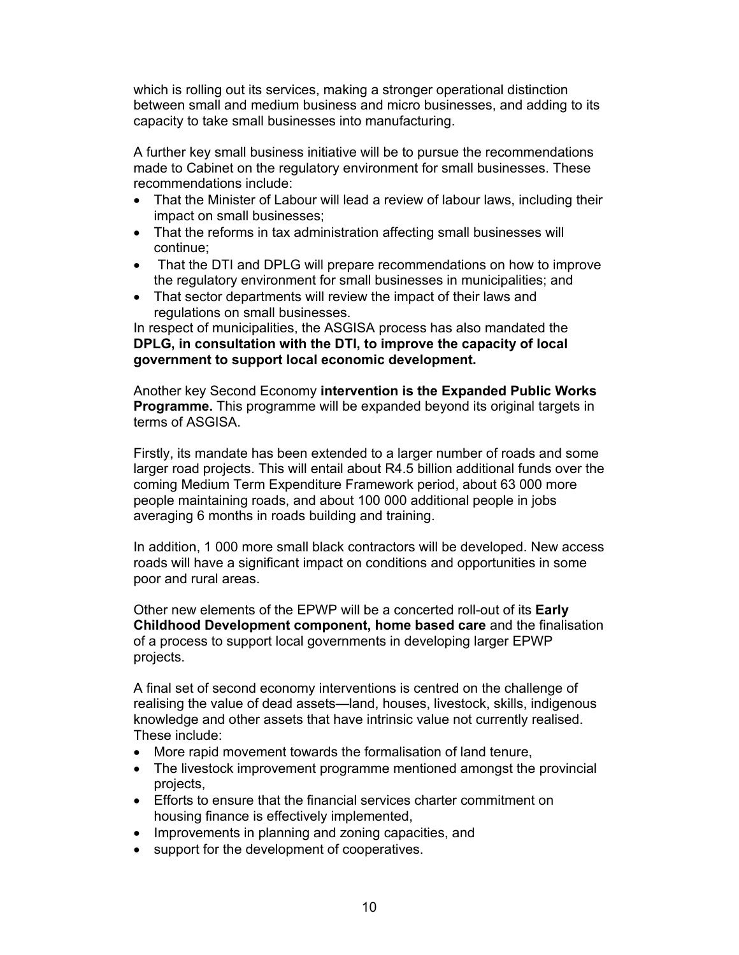which is rolling out its services, making a stronger operational distinction between small and medium business and micro businesses, and adding to its capacity to take small businesses into manufacturing.

A further key small business initiative will be to pursue the recommendations made to Cabinet on the regulatory environment for small businesses. These recommendations include:

- That the Minister of Labour will lead a review of labour laws, including their impact on small businesses;
- That the reforms in tax administration affecting small businesses will continue;
- That the DTI and DPLG will prepare recommendations on how to improve the regulatory environment for small businesses in municipalities; and
- That sector departments will review the impact of their laws and regulations on small businesses.

In respect of municipalities, the ASGISA process has also mandated the **DPLG, in consultation with the DTI, to improve the capacity of local government to support local economic development.** 

Another key Second Economy **intervention is the Expanded Public Works Programme.** This programme will be expanded beyond its original targets in terms of ASGISA.

Firstly, its mandate has been extended to a larger number of roads and some larger road projects. This will entail about R4.5 billion additional funds over the coming Medium Term Expenditure Framework period, about 63 000 more people maintaining roads, and about 100 000 additional people in jobs averaging 6 months in roads building and training.

In addition, 1 000 more small black contractors will be developed. New access roads will have a significant impact on conditions and opportunities in some poor and rural areas.

Other new elements of the EPWP will be a concerted roll-out of its **Early Childhood Development component, home based care** and the finalisation of a process to support local governments in developing larger EPWP projects.

A final set of second economy interventions is centred on the challenge of realising the value of dead assets—land, houses, livestock, skills, indigenous knowledge and other assets that have intrinsic value not currently realised. These include:

- More rapid movement towards the formalisation of land tenure.
- The livestock improvement programme mentioned amongst the provincial projects,
- Efforts to ensure that the financial services charter commitment on housing finance is effectively implemented,
- Improvements in planning and zoning capacities, and
- support for the development of cooperatives.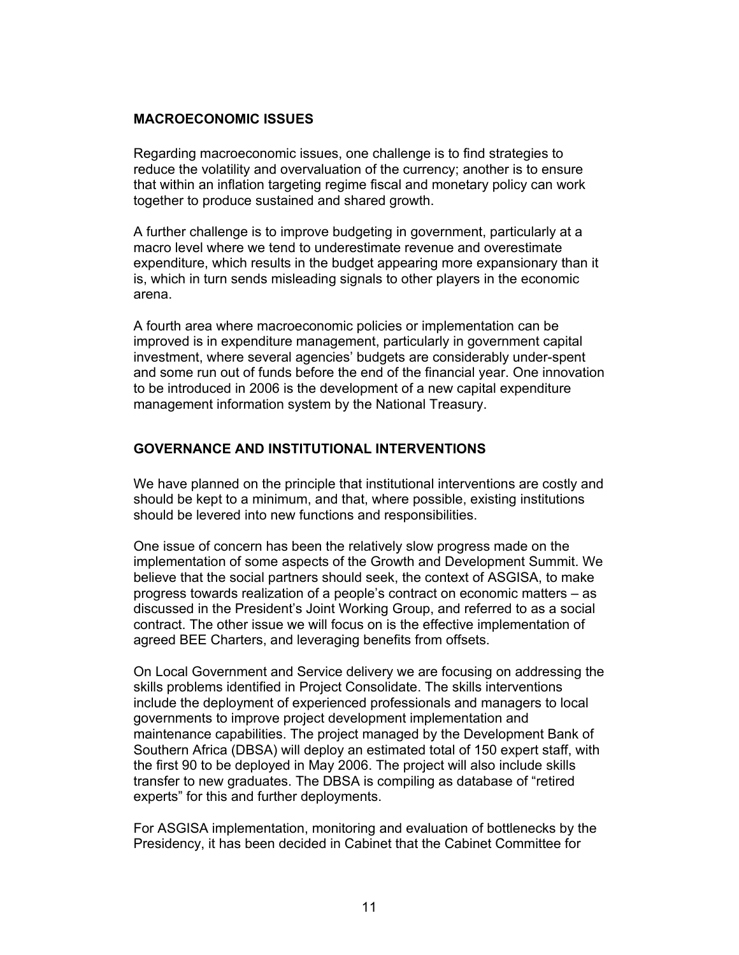### <span id="page-11-0"></span>**MACROECONOMIC ISSUES**

Regarding macroeconomic issues, one challenge is to find strategies to reduce the volatility and overvaluation of the currency; another is to ensure that within an inflation targeting regime fiscal and monetary policy can work together to produce sustained and shared growth.

A further challenge is to improve budgeting in government, particularly at a macro level where we tend to underestimate revenue and overestimate expenditure, which results in the budget appearing more expansionary than it is, which in turn sends misleading signals to other players in the economic arena.

A fourth area where macroeconomic policies or implementation can be improved is in expenditure management, particularly in government capital investment, where several agencies' budgets are considerably under-spent and some run out of funds before the end of the financial year. One innovation to be introduced in 2006 is the development of a new capital expenditure management information system by the National Treasury.

### **GOVERNANCE AND INSTITUTIONAL INTERVENTIONS**

We have planned on the principle that institutional interventions are costly and should be kept to a minimum, and that, where possible, existing institutions should be levered into new functions and responsibilities.

One issue of concern has been the relatively slow progress made on the implementation of some aspects of the Growth and Development Summit. We believe that the social partners should seek, the context of ASGISA, to make progress towards realization of a people's contract on economic matters – as discussed in the President's Joint Working Group, and referred to as a social contract. The other issue we will focus on is the effective implementation of agreed BEE Charters, and leveraging benefits from offsets.

On Local Government and Service delivery we are focusing on addressing the skills problems identified in Project Consolidate. The skills interventions include the deployment of experienced professionals and managers to local governments to improve project development implementation and maintenance capabilities. The project managed by the Development Bank of Southern Africa (DBSA) will deploy an estimated total of 150 expert staff, with the first 90 to be deployed in May 2006. The project will also include skills transfer to new graduates. The DBSA is compiling as database of "retired experts" for this and further deployments.

For ASGISA implementation, monitoring and evaluation of bottlenecks by the Presidency, it has been decided in Cabinet that the Cabinet Committee for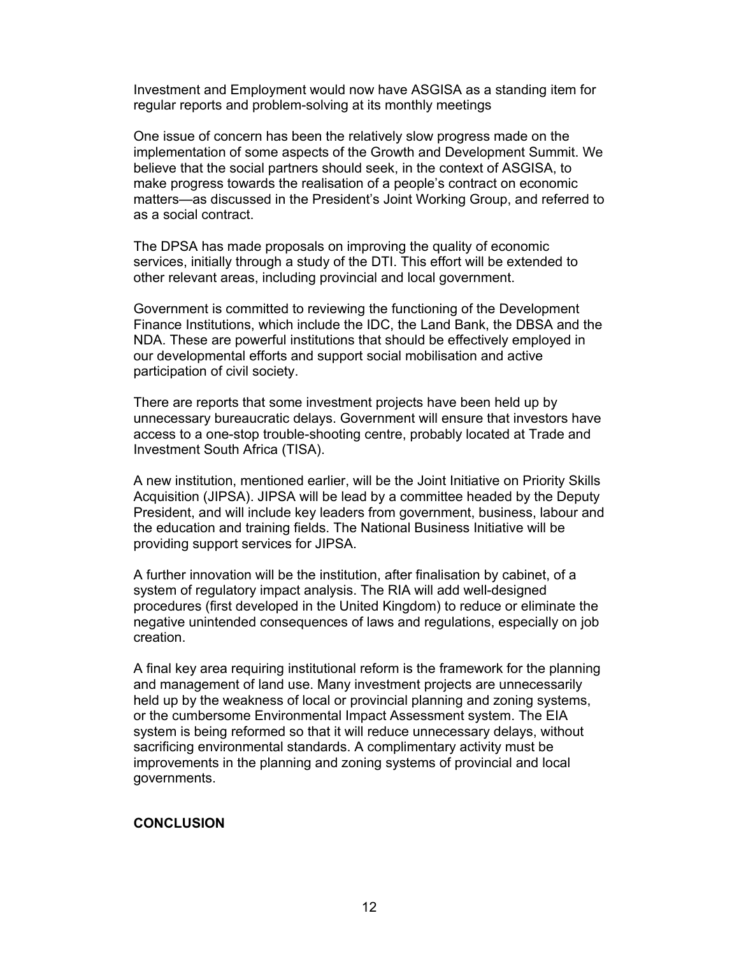<span id="page-12-0"></span>Investment and Employment would now have ASGISA as a standing item for regular reports and problem-solving at its monthly meetings

One issue of concern has been the relatively slow progress made on the implementation of some aspects of the Growth and Development Summit. We believe that the social partners should seek, in the context of ASGISA, to make progress towards the realisation of a people's contract on economic matters—as discussed in the President's Joint Working Group, and referred to as a social contract.

The DPSA has made proposals on improving the quality of economic services, initially through a study of the DTI. This effort will be extended to other relevant areas, including provincial and local government.

Government is committed to reviewing the functioning of the Development Finance Institutions, which include the IDC, the Land Bank, the DBSA and the NDA. These are powerful institutions that should be effectively employed in our developmental efforts and support social mobilisation and active participation of civil society.

There are reports that some investment projects have been held up by unnecessary bureaucratic delays. Government will ensure that investors have access to a one-stop trouble-shooting centre, probably located at Trade and Investment South Africa (TISA).

A new institution, mentioned earlier, will be the Joint Initiative on Priority Skills Acquisition (JIPSA). JIPSA will be lead by a committee headed by the Deputy President, and will include key leaders from government, business, labour and the education and training fields. The National Business Initiative will be providing support services for JIPSA.

A further innovation will be the institution, after finalisation by cabinet, of a system of regulatory impact analysis. The RIA will add well-designed procedures (first developed in the United Kingdom) to reduce or eliminate the negative unintended consequences of laws and regulations, especially on job creation.

A final key area requiring institutional reform is the framework for the planning and management of land use. Many investment projects are unnecessarily held up by the weakness of local or provincial planning and zoning systems, or the cumbersome Environmental Impact Assessment system. The EIA system is being reformed so that it will reduce unnecessary delays, without sacrificing environmental standards. A complimentary activity must be improvements in the planning and zoning systems of provincial and local governments.

## **CONCLUSION**